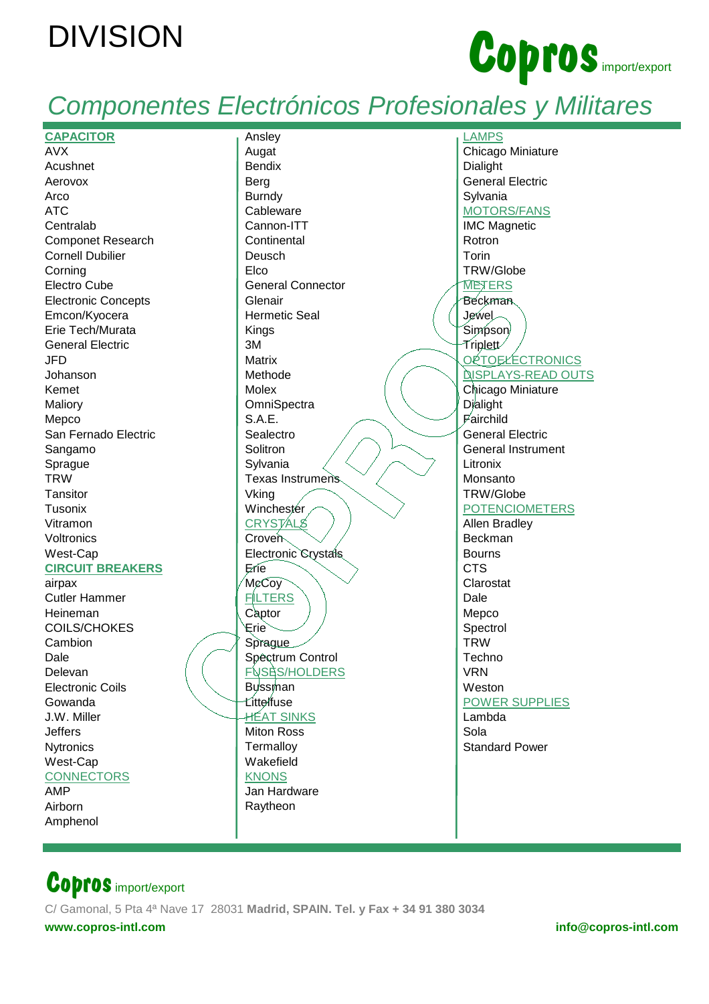# **DIVISION**



## Componentes Electrónicos Profesionales y Militares

| <b>CAPACITOR</b>           | Ansley                   | <b>LAMPS</b>              |
|----------------------------|--------------------------|---------------------------|
| <b>AVX</b>                 | Augat                    | Chicago Miniature         |
| Acushnet                   | <b>Bendix</b>            | Dialight                  |
| Aerovox                    | Berg                     | <b>General Electric</b>   |
| Arco                       | <b>Burndy</b>            | Sylvania                  |
|                            |                          |                           |
| <b>ATC</b>                 | Cableware                | <b>MOTORS/FANS</b>        |
| Centralab                  | Cannon-ITT               | <b>IMC Magnetic</b>       |
| <b>Componet Research</b>   | Continental              | Rotron                    |
| <b>Cornell Dubilier</b>    | Deusch                   | Torin                     |
| Corning                    | Elco                     | TRW/Globe                 |
| Electro Cube               | <b>General Connector</b> | <b>METERS</b>             |
| <b>Electronic Concepts</b> | Glenair                  | <b>Beckman</b>            |
| Emcon/Kyocera              | <b>Hermetic Seal</b>     | Jewel                     |
| Erie Tech/Murata           | Kings                    | Simpson                   |
|                            | 3M                       |                           |
| <b>General Electric</b>    |                          | Triplett⁄                 |
| <b>JFD</b>                 | <b>Matrix</b>            | ORTOELECTRONICS           |
| Johanson                   | Methode                  | <b>DISPLAYS-READ OUTS</b> |
| Kemet                      | Molex                    | Chicago Miniature         |
| Maliory                    | OmniSpectra              | Dialight                  |
| Mepco                      | <b>S.A.E.</b>            | Fairchild                 |
| San Fernado Electric       | Sealectro                | <b>General Electric</b>   |
| Sangamo                    | Solitron                 | <b>General Instrument</b> |
| Sprague                    | Sylvania                 | Litronix                  |
| <b>TRW</b>                 |                          |                           |
|                            | Texas Instrumens         | Monsanto                  |
| Tansitor                   | Vking                    | <b>TRW/Globe</b>          |
| Tusonix                    | Winchester               | <b>POTENCIOMETERS</b>     |
| Vitramon                   | <b>CRYSTALS</b>          | Allen Bradley             |
| Voltronics                 | Croven                   | Beckman                   |
| West-Cap                   | Electronic Crystals      | <b>Bourns</b>             |
| <b>CIRCUIT BREAKERS</b>    | Erie                     | <b>CTS</b>                |
| airpax                     | McCoy                    | Clarostat                 |
| <b>Cutler Hammer</b>       | <b>FILTERS</b>           | Dale                      |
| Heineman                   | Captor                   | Mepco                     |
| <b>COILS/CHOKES</b>        | ∕ Erie                   | Spectrol                  |
|                            |                          |                           |
| Cambion                    | Sprague                  | <b>TRW</b>                |
| Dale                       | Spêctrum Control         | Techno                    |
| Delevan                    | <b>FUSES/HOLDERS</b>     | <b>VRN</b>                |
| <b>Electronic Coils</b>    | <b>Bussman</b>           | Weston                    |
| Gowanda                    | Ľitteľfuse               | <b>POWER SUPPLIES</b>     |
| J.W. Miller                | <b>HÉA<u>T SINKS</u></b> | Lambda                    |
| <b>Jeffers</b>             | <b>Miton Ross</b>        | Sola                      |
| Nytronics                  | Termalloy                | <b>Standard Power</b>     |
| West-Cap                   | Wakefield                |                           |
|                            |                          |                           |
| <b>CONNECTORS</b>          | <b>KNONS</b>             |                           |
| <b>AMP</b>                 | Jan Hardware             |                           |
| Airborn                    | Raytheon                 |                           |
| Amphenol                   |                          |                           |
|                            |                          |                           |

### **Copros** import/export

C/ Gamonal, 5 Pta 4ª Nave 17 28031 Madrid, SPAIN. Tel. y Fax + 34 91 380 3034 www.copros-intl.com